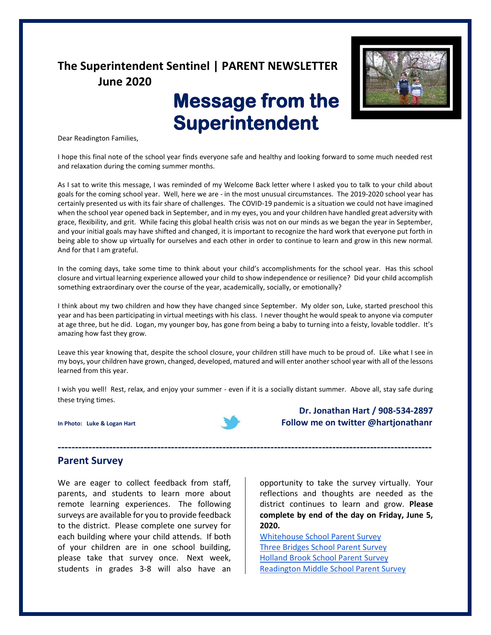## **The Superintendent Sentinel | PARENT NEWSLETTER June 2020**

# **Message from the Superintendent**



Dear Readington Families,

I hope this final note of the school year finds everyone safe and healthy and looking forward to some much needed rest and relaxation during the coming summer months.

As I sat to write this message, I was reminded of my Welcome Back letter where I asked you to talk to your child about goals for the coming school year. Well, here we are - in the most unusual circumstances. The 2019-2020 school year has certainly presented us with its fair share of challenges. The COVID-19 pandemic is a situation we could not have imagined when the school year opened back in September, and in my eyes, you and your children have handled great adversity with grace, flexibility, and grit. While facing this global health crisis was not on our minds as we began the year in September, and your initial goals may have shifted and changed, it is important to recognize the hard work that everyone put forth in being able to show up virtually for ourselves and each other in order to continue to learn and grow in this new normal. And for that I am grateful.

In the coming days, take some time to think about your child's accomplishments for the school year. Has this school closure and virtual learning experience allowed your child to show independence or resilience? Did your child accomplish something extraordinary over the course of the year, academically, socially, or emotionally?

I think about my two children and how they have changed since September. My older son, Luke, started preschool this year and has been participating in virtual meetings with his class. I never thought he would speak to anyone via computer at age three, but he did. Logan, my younger boy, has gone from being a baby to turning into a feisty, lovable toddler. It's amazing how fast they grow.

Leave this year knowing that, despite the school closure, your children still have much to be proud of. Like what I see in my boys, your children have grown, changed, developed, matured and will enter another school year with all of the lessons learned from this year.

I wish you well! Rest, relax, and enjoy your summer - even if it is a socially distant summer. Above all, stay safe during these trying times.

**-------------------------------------------------------------------------------------------------------------**



**Dr. Jonathan Hart / 908-534-2897 In Photo: Luke & Logan Hart Follow me on twitter @hartjonathanr** 

### **Parent Survey**

We are eager to collect feedback from staff, parents, and students to learn more about remote learning experiences. The following surveys are available for you to provide feedback to the district. Please complete one survey for each building where your child attends. If both of your children are in one school building, please take that survey once. Next week, students in grades 3-8 will also have an

opportunity to take the survey virtually. Your reflections and thoughts are needed as the district continues to learn and grow. **Please complete by end of the day on Friday, June 5, 2020.**

[Whitehouse School Parent Survey](https://docs.google.com/forms/d/e/1FAIpQLSf3V7JNkEMWVgX6y97mMxurmA72BJn6KP5XXA4UhdeMOY9Jew/viewform?usp=sf_link) [Three Bridges School Parent Survey](https://docs.google.com/forms/d/e/1FAIpQLSdSBcqJmGyAjU9a3zgxUaBOBVszyfH3ejZ-Ua5-zIaroRnlug/viewform?usp=sf_link) [Holland Brook School Parent Survey](https://docs.google.com/forms/d/e/1FAIpQLSdRn7FDo3Ly305ZG7EEC3pCPgjZl0XUCQ6BKxwtdn1tMvz-Cg/viewform?usp=sf_link) [Readington Middle School Parent Survey](https://docs.google.com/forms/d/e/1FAIpQLSdWTWkkTFwpb6XdBcAutFvtAvi3c0v05n9G0yIztqTeOGOBCQ/viewform?usp=sf_link)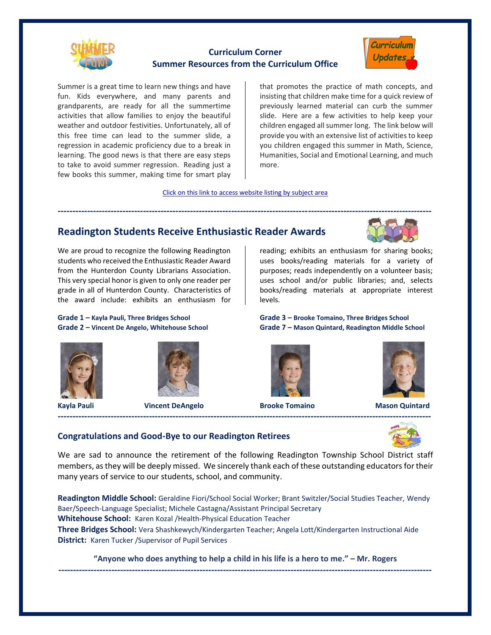

## **Curriculum Corner Summer Resources from the Curriculum Office**



Summer is a great time to learn new things and have fun. Kids everywhere, and many parents and grandparents, are ready for all the summertime activities that allow families to enjoy the beautiful weather and outdoor festivities. Unfortunately, all of this free time can lead to the summer slide, a regression in academic proficiency due to a break in learning. The good news is that there are easy steps to take to avoid summer regression. Reading just a few books this summer, making time for smart play

that promotes the practice of math concepts, and insisting that children make time for a quick review of previously learned material can curb the summer slide. Here are a few activities to help keep your children engaged all summer long. The link below will provide you with an extensive list of activities to keep you children engaged this summer in Math, Science, Humanities, Social and Emotional Learning, and much more.

[Click on this link to access website listing by subject area](https://www.readington.k12.nj.us/cms/lib/NJ01000244/Centricity/Domain/26/Summer%20Resources%20from%20the%20Curriculum%20Office.pdf)

## **Readington Students Receive Enthusiastic Reader Awards**

We are proud to recognize the following Readington students who received the Enthusiastic Reader Award from the Hunterdon County Librarians Association. This very special honor is given to only one reader per grade in all of Hunterdon County. Characteristics of the award include: exhibits an enthusiasm for

## **Grade 1 – Kayla Pauli, Three Bridges School Grade 3 – Brooke Tomaino, Three Bridges School**





**Kayla Pauli Vincent DeAngelo Brooke Tomaino Mason Quintard**



reading; exhibits an enthusiasm for sharing books; uses books/reading materials for a variety of purposes; reads independently on a volunteer basis; uses school and/or public libraries; and, selects books/reading materials at appropriate interest levels.

**Grade 2 – Vincent De Angelo, Whitehouse School Grade 7 – Mason Quintard, Readington Middle School**





### **Congratulations and Good-Bye to our Readington Retirees**

We are sad to announce the retirement of the following Readington Township School District staff members, as they will be deeply missed. We sincerely thank each of these outstanding educators for their many years of service to our students, school, and community.

*-------------------------------------------------------------------------------------------------------------------------------*

**Readington Middle School:** Geraldine Fiori/School Social Worker; Brant Switzler/Social Studies Teacher, Wendy Baer/Speech-Language Specialist; Michele Castagna/Assistant Principal Secretary **Whitehouse School:** Karen Kozal /Health-Physical Education Teacher **Three Bridges School:** Vera Shashkewych/Kindergarten Teacher; Angela Lott/Kindergarten Instructional Aide **District:** Karen Tucker /Supervisor of Pupil Services

**"Anyone who does anything to help a child in his life is a hero to me." – Mr. Rogers** *-------------------------------------------------------------------------------------------------------------------------------*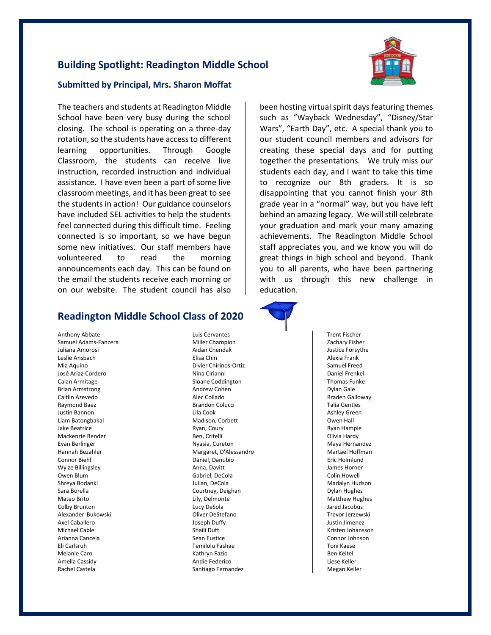## **Building Spotlight: Readington Middle School**



#### **Submitted by Principal, Mrs. Sharon Moffat**

The teachers and students at Readington Middle School have been very busy during the school closing. The school is operating on a three-day rotation, so the students have access to different learning opportunities. Through Google Classroom, the students can receive live instruction, recorded instruction and individual assistance. I have even been a part of some live classroom meetings, and it has been great to see the students in action! Our guidance counselors have included SEL activities to help the students feel connected during this difficult time. Feeling connected is so important, so we have begun some new initiatives. Our staff members have volunteered to read the morning announcements each day. This can be found on the email the students receive each morning or on our website. The student council has also

## **Readington Middle School Class of 2020**

Anthony Abbate Samuel Adams-Fancera Juliana Amorosi Leslie Ansbach Mia Aquino José Ariaz-Cordero Calan Armitage Brian Armstrong Caitlin Azevedo Raymond Baez Justin Bannon Liam Batongbakal Jake Beatrice Mackenzie Bender Evan Berlinger Hannah Bezahler Connor Biehl Wy'ze Billingsley Owen Blum Shreya Bodanki Sara Borella Mateo Brito Colby Brunton Alexander Bukowski Axel Caballero Michael Cable Arianna Cancela Eli Carlsruh Melanie Caro Amelia Cassidy Rachel Castela

Luis Cervantes Miller Champion Aidan Chendak Elisa Chin Divier Chirinos-Ortiz Nina Cirianni Sloane Coddington Andrew Cohen Alec Collado Brandon Colucci Lila Cook Madison, Corbett Ryan, Coury Ben, Critelli Nyasia, Cureton Margaret, D'Alessandro Daniel, Danubio Anna, Davitt Gabriel, DeCola Julian, DeCola Courtney, Deighan Lily, Delmonte Lucy DeSola Oliver DeStefano Joseph Duffy Shaili Dutt Sean Eustice Temilolu Fashae Kathryn Fazio Andie Federico Santiago Fernandez

been hosting virtual spirit days featuring themes such as "Wayback Wednesday", "Disney/Star Wars", "Earth Day", etc. A special thank you to our student council members and advisors for creating these special days and for putting together the presentations. We truly miss our students each day, and I want to take this time to recognize our 8th graders. It is so disappointing that you cannot finish your 8th grade year in a "normal" way, but you have left behind an amazing legacy. We will still celebrate your graduation and mark your many amazing achievements. The Readington Middle School staff appreciates you, and we know you will do great things in high school and beyond. Thank you to all parents, who have been partnering with us through this new challenge in education.



Trent Fischer Zachary Fisher Justice Forsythe Alexia Frank Samuel Freed Daniel Frenkel Thomas Funke Dylan Gale Braden Galloway Talia Gentles Ashley Green Owen Hall Ryan Hample Olivia Hardy Maya Hernandez Martael Hoffman Eric Holmlund James Horner Colin Howell Madalyn Hudson Dylan Hughes Matthew Hughes Jared Jacobus Trevor Jerzewski Justin Jimenez Kristen Johansson Connor Johnson Toni Kaese Ben Keitel Liese Keller Megan Keller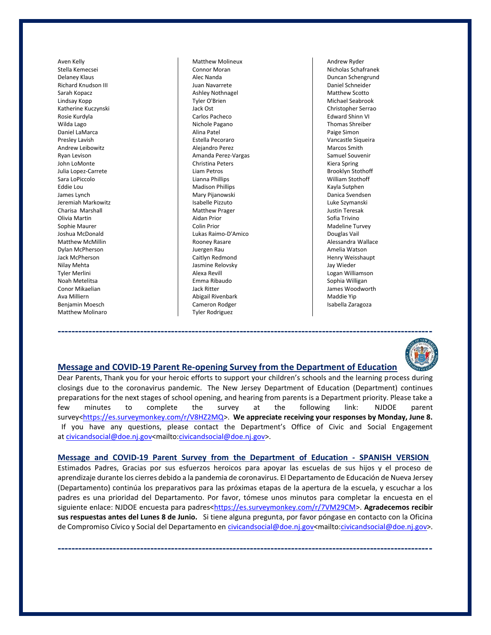Aven Kelly Stella Kemecsei Delaney Klaus Richard Knudson III Sarah Kopacz Lindsay Kopp Katherine Kuczynski Rosie Kurdyla Wilda Lago Daniel LaMarca Presley Lavish Andrew Leibowitz Ryan Levison John LoMonte Julia Lopez-Carrete Sara LoPiccolo Eddie Lou James Lynch Jeremiah Markowitz Charisa Marshall Olivia Martin Sophie Maurer Joshua McDonald Matthew McMillin Dylan McPherson Jack McPherson Nilay Mehta Tyler Merlini Noah Metelitsa Conor Mikaelian Ava Milliern Benjamin Moesch Matthew Molinaro

Matthew Molineux Connor Moran Alec Nanda Juan Navarrete Ashley Nothnagel Tyler O'Brien Jack Ost Carlos Pacheco Nichole Pagano Alina Patel Estella Pecoraro Alejandro Perez Amanda Perez-Vargas Christina Peters Liam Petros Lianna Phillips Madison Phillips Mary Pijanowski Isabelle Pizzuto Matthew Prager Aidan Prior Colin Prior Lukas Raimo-D'Amico Rooney Rasare Juergen Rau Caitlyn Redmond Jasmine Relovsky Alexa Revill Emma Ribaudo Jack Ritter Abigail Rivenbark Cameron Rodger Tyler Rodriguez

Andrew Ryder Nicholas Schafranek Duncan Schengrund Daniel Schneider Matthew Scotto Michael Seabrook Christopher Serrao Edward Shinn VI Thomas Shreiber Paige Simon Vancastle Siqueira Marcos Smith Samuel Souvenir Kiera Spring Brooklyn Stothoff William Stothoff Kayla Sutphen Danica Svendsen Luke Szymanski Justin Teresak Sofia Trivino Madeline Turvey Douglas Vail Alessandra Wallace Amelia Watson Henry Weisshaupt Jay Wieder Logan Williamson Sophia Willigan James Woodworth Maddie Yip Isabella Zaragoza



#### **Message and COVID-19 Parent Re-opening Survey from the Department of Education**

Dear Parents, Thank you for your heroic efforts to support your children's schools and the learning process during closings due to the coronavirus pandemic. The New Jersey Department of Education (Department) continues preparations for the next stages of school opening, and hearing from parents is a Department priority. Please take a few minutes to complete the survey at the following link: NJDOE parent survey[<https://es.surveymonkey.com/r/V8HZ2MQ>](https://es.surveymonkey.com/r/V8HZ2MQ). **We appreciate receiving your responses by Monday, June 8.** If you have any questions, please contact the Department's Office of Civic and Social Engagement at [civicandsocial@doe.nj.gov<](mailto:civicandsocial@doe.nj.gov)mailto[:civicandsocial@doe.nj.gov>](mailto:civicandsocial@doe.nj.gov).

**Message and COVID-19 Parent Survey from the Department of Education - SPANISH VERSION** Estimados Padres, Gracias por sus esfuerzos heroicos para apoyar las escuelas de sus hijos y el proceso de aprendizaje durante los cierres debido a la pandemia de coronavirus. El Departamento de Educación de Nueva Jersey (Departamento) continúa los preparativos para las próximas etapas de la apertura de la escuela, y escuchar a los padres es una prioridad del Departamento. Por favor, tómese unos minutos para completar la encuesta en el siguiente enlace: NJDOE encuesta para padres[<https://es.surveymonkey.com/r/7VM29CM>](https://es.surveymonkey.com/r/7VM29CM). Agradecemos recibir **sus respuestas antes del Lunes 8 de Junio.** Si tiene alguna pregunta, por favor póngase en contacto con la Oficina de Compromiso Cívico y Social del Departamento en [civicandsocial@doe.nj.gov<](mailto:civicandsocial@doe.nj.gov)mailto[:civicandsocial@doe.nj.gov>](mailto:civicandsocial@doe.nj.gov).

**-------------------------------------------------------------------------------------------------------------**